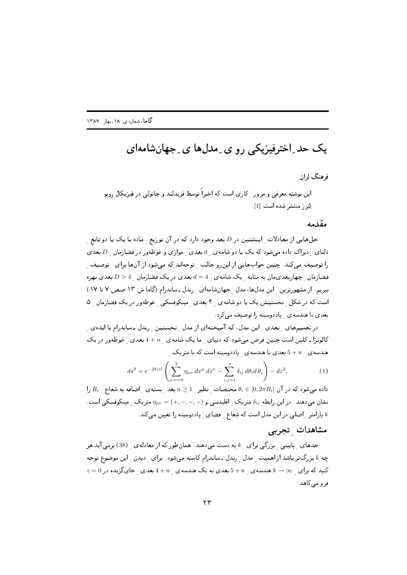## یک حد ِاخترفیزیکی رو ی ِ مدلها ی ِ جهانشامهای

فرهنگ لران

این نوشته معرفی و مرور کاری است که اخیراً توسط فریدلند و جانوتی در فیزیکال رویو لِتِرِ , منتشر شده است [1].

## مقدمه

حلهایی از معادلات اینشتین در D بعد وجود دارد که در آن توزیع ماده با یک یا دو تابع دلتای ِ دیراک داده میشود که یک یا دو شامه ی  $d$  بعدی ِ موازی و غوطهور در فضازمان ِ D بعدی را توصیف میکند. چنین جوابهایی از این رو جالب توجهاند که میشود از آنها برای توصیف فضازمان چهاربعدیمان به مثابه یک شامه ی  $4 = d = d$ بعدی در یک فضازمان  $D > 4$ بعدی بهره ببریم. از مشهورترین این مدلها، مدل جهانشامهای رندل ـ ساندرام (گاما ش ١٣ صص ٧ تا ١٧) است که در شکل نخستینش یک یا دو شامه ی ۴ بعدی مینکوفسکی غوطهور در یک فضازمان ۵ بعدي با هندسهي پاددوسيته را توصيف مي كرد.

در تعمیمهای بعدی این مدل، که آمیختهای از مدل ِ نخستین ِ رندل ـ ساندرام با ایدهی ِ کالوتزا ـ کلین است چنین فرض می شود که دنیای ما یک شامه ی + 4 بعدی غوطهور در یک هندسه ی  $n=5+n$  بعدی با هندسه ی ِ پاددوسیته است که با متریک ِ

$$
ds^{2} = e^{-2k|z|} \left( \sum_{\mu,\nu=0}^{3} \eta_{\mu\nu} dx^{\mu} dx^{\nu} - \sum_{i,j=1}^{n} \delta_{ij} d\theta_{i} d\theta_{j} \right) - dz^{2}, \qquad (1)
$$

داده میشود که در آن  $\theta_i \in [0,2\pi R_i]$  مختصات ِ نظیر ہ $n \geq 1$  بعد ِ بسته $o$  ِ اضافه به شعاع ہی  $R_i$  را نشان میدهند. در این رابطه  $\delta_{ij}$  متریک ِ اقلیدسی و  $(-,-,-,-) = \eta_{\mu\nu}$  متریک ِ مینکوفسکی است. پارامتر  $\,$ اصلی در این مدل است که شعاع فضای پاددوسیته را تعیین میکند.  $\,k\,$ 

## مشاهدات تجربي

حدهای پایینی بزرگی برای k به دست میدهند. همانطور که از معادله ی (38) برمی آید هر چه & بزرگتر باشد از اهمیت مدل رندل ـ ساندرام کاسته میشود. برای ِ دیدن ِ این موضوع توجه  $z=0$  کنید که برای  $\infty$   $k\to\infty$  هندسه $s+n$  بعدی مه یک هندسه $n\to 4+n$  بعدی جایگزیده در فرو مي کاهد.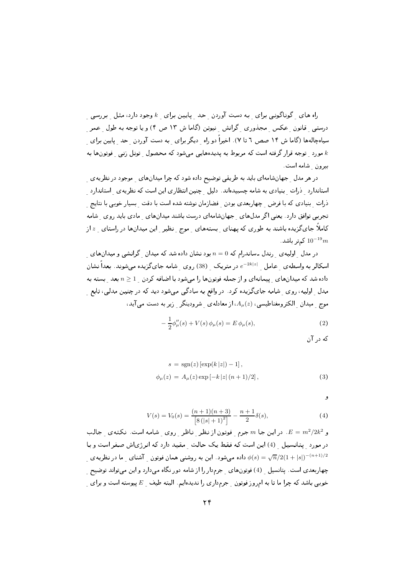اه های گوناگونے برای به دست آوردن حد پایین برای  $k$ وجود دارد، مثل بررسی ِ درستبی قانون عکس مجذوری گرانش نیوتن (گاما ش ۱۳ ص ۴) و یا توجه به طول عمر سیاهچالهها (گاما ش ۱۴ صص ٦ تا ۷). اخیراً دو راه دیگر برای به دست آوردن حد پایین برای مورد توجه قرار گرفته است که مربوط به پدیدههایی میشود که محصول تونل زنی فوتونها به  $k$ بیرون شامه است.

در هر مدل حجهانشامهای باید به طریقی توضیح داده شود که چرا میدانهای موجود در نظریهی استاندارد ِ ذرات بنیادی به شامه چسبیدهاند. دلیل چنین انتظاری این است که نظریه ی استاندارد ۔<br>ذرات - بنیادی که یا فرض - چهاریعدی بودن - فضازمان نوشته شده است یا دقت - بسیار خوبی یا نتایج تجربی توافق دارد. یعنی اگر مدلهای جهانشامهای درست باشند میدانهای مادی باید روی شامه کاملاً جایگزیده باشند به طوری که پهنای ِ بستههای ِ موج ِ نظیر ِ این میدانها در راستای ِ z از کہتر باشد.  $10^{-19}m$ 

در مدل  $\,$ اولیه $\,$ ی رندل ـ ساندرام که $\,n=0\,$ بود نشان داده شد که میدان گرانشی و میدانهای اسکالر به واسطه $\,$  عامل  $\,e^{-2k|z|}$  در متریک  $\,$  (38) روی شامه جایگزیده میشوند. بعداً نشان داده شد که میدانهای پیمانهای و از جمله فوتونها را می شود با اضافه کردن  $n\geq 1$  بعد بسته به مدل <sub>\_</sub> اولیه، روی <sub>\_</sub> شامه جای گزیده کرد. در واقع به سادگی میشود دید که در چنین مدلی، تابع <sub>\_</sub> موج ً میدان الکترومغناطیسی،  $A_\mu(z)$ ، از معادله ی شرودینگر زیر به دست می آید،

$$
-\frac{1}{2}\phi_{\mu}''(s) + V(s)\,\phi_{\mu}(s) = E\,\phi_{\mu}(s),\tag{2}
$$

که در آن

$$
s = sgn(z) [\exp(k|z|) - 1],
$$
  
\n
$$
\phi_{\mu}(z) = A_{\mu}(z) \exp[-k|z|(n+1)/2],
$$
\n(3)

و

$$
V(s) = V_0(s) = \frac{(n+1)(n+3)}{[8(|s|+1)^2]} - \frac{n+1}{2}\delta(s),\tag{4}
$$

و E =  $m^2/2k^2$ . در این جا  $m$  جرم فوتون از نظر ناظر روی شامه است. نکتهی جالب در مورد پتانسیل (4) این است که فقط یک حالت مقید دارد که انرژیاش صفر است و با داده میشود. این به روشنی همان فوتون ِ آشنای ِ ما در نظریه $\phi(s) = \sqrt{n}/2(1+|s|)^{-(n+1)/2}$ چهاربعدی است. پتانسیل ِ (4) فوتونهای ِ جرمدار را از شامه دور نگاه میدارد و این میتواند توضیح ِ خوبی باشد که چرا ما تا به امروز فوتون <sub>-</sub> جرمداری را ندیدهایم. البته طیف <sub>-</sub> E پیوسته است و برای <sub>-</sub>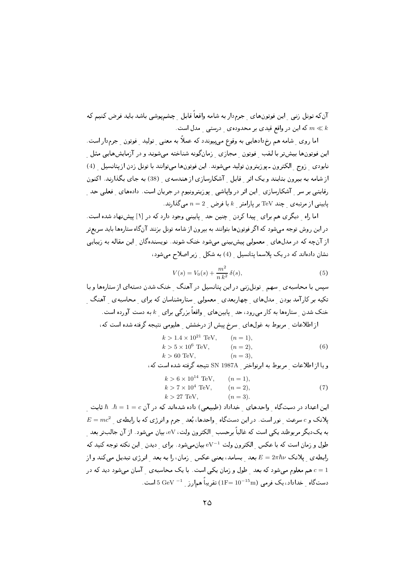آنکه تونل زنبی این فوتونهای جرم‹ار به شامه واقعاً قابل چشمپوشی باشد باید فرض کنیم که که این در واقع قیدی بر محدودهی درستبی مدل است.  $m \ll k$ 

اما روی ِ شامه هم رخ۱دهایی به وقوع میپیوندد که عملاً به معنی ِ تولید ِ فوتون ِ جرمدار است. این فوتونها بیشتر با لقب ِ فوتون ِ مجازی ِ زمانگونه شناخته میشوند و در آزمایشهایی مثل نابودي زوج الكترون ـ پوزيترون توليد مىشوند. اين فوتونها مىتوانند با تونل زدن از پتانسيل (4) از شامه به بیرون بتابند و یک اثر قابل آشکارسازی از هندسه ی (38) به جای بگذارند. اکنون رقابتی بر سر <sub>ب</sub> آشکارسازی <sub>ب</sub> این اثر در واپاشی <sub>ب</sub> پوزیترونیوم در جریان است. دادههای <sub>ب</sub> فعلی حد <sub>ب</sub>  $n=2$  پایینی از مرتبه ی چند TeV بر پارامتر  $k$  با فرض  $n=2$  می $\lambda$ دارند.

اما راه دیگری هم برای پیدا کردن چنین حد پایینی وجود دارد که در [۱] پیشنهاد شده است. در این روش توجه میشود که اگر فوتونها بتوانند به بیرون از شامه تونل بزنند آنگاه ستارهها باید سریعتر از آنچه که در مدلهای معمولی پیشبینی میشود خنک شوند. نویسندهگان آین مقاله به زیبایی نشان دادهاند که در یک پلاسما پتانسیل (4) به شکل زیر اصلاح می شود،

$$
V(s) = V_0(s) + \frac{m^2}{n k^2} \delta(s),
$$
\n(5)

سیس با محاسبه ی سهم تونل زنبی در این پتانسیل در آهنگ خنک شدن دستهای از ستارهها و با تکیه بر کارآمد بودن مدلهای چهاربعدی معمولی ستارهشناسان که برای محاسبهی آهنگ خنک شدن ستارهها به کار می رود، حد پایینهای واقعاً بزرگی برای & به دست آورده است. از اطلاعات مربوط به غولهای مسرخ پیش از درخشش هلیومی نتیجه گرفته شده است که،

$$
k > 1.4 \times 10^{21}
$$
 TeV,  $(n = 1),$   
\n $k > 5 \times 10^6$  TeV,  $(n = 2),$   
\n $k > 60$  TeV,  $(n = 3),$  (6)

و یا از اطلاعات مربوط به ایرنواختر SN 1987A نتیجه گرفته شده است که،

$$
k > 6 \times 10^{14} \text{ TeV}, \qquad (n = 1),k > 7 \times 10^{4} \text{ TeV}, \qquad (n = 2),k > 27 \text{ TeV}, \qquad (n = 3).
$$
 (7)

این اعداد در دستگاه ِ واحدهای ِ خداداد (طبیعی) داده شدهاند که در آن $\hbar = 1 = c$  .  $\hbar$  ثابت ِ  $E = mc^2$  پلانک و  $c$  سرعت نور است. در این دستگاه واحدها، بُعد جرم و انرژی که با رابطه ی به یکدیگر مربوطند یکی است که غالباً برحسب <sub>\_</sub> الکترون ولت، eV، بیان میشود . از آن جالبتر بعد <sub>\_</sub> طول و زمان است که با عکس الکترون ولت  $\rm{eV^{-1}}$  بیان میشود . برای دیدن این نکته توجه کنید که رابطه ی پلانک  $E=2\pi\hbar\nu$  بعد بسامد، یعنی عکس زمان، را به بعد انرژی تبدیل میکند و از هم معلوم میشود که بعد گطول و زمان یکی است. با یک محاسبه ی آسان میشود دید که در  $c=1$ . دستگاه خداداد، یک فرمی  $\rm{(1F=10^{-15}m)}$  تقریباً همارز  $\rm{GeV}^{-1}$  است